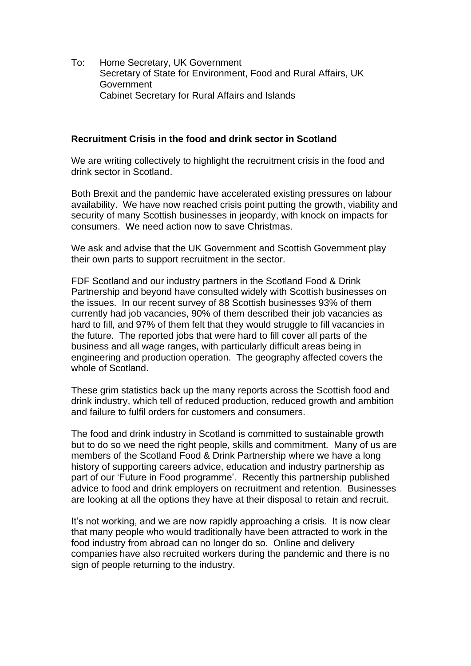To: Home Secretary, UK Government Secretary of State for Environment, Food and Rural Affairs, UK Government Cabinet Secretary for Rural Affairs and Islands

## **Recruitment Crisis in the food and drink sector in Scotland**

We are writing collectively to highlight the recruitment crisis in the food and drink sector in Scotland.

Both Brexit and the pandemic have accelerated existing pressures on labour availability. We have now reached crisis point putting the growth, viability and security of many Scottish businesses in jeopardy, with knock on impacts for consumers. We need action now to save Christmas.

We ask and advise that the UK Government and Scottish Government play their own parts to support recruitment in the sector.

FDF Scotland and our industry partners in the Scotland Food & Drink Partnership and beyond have consulted widely with Scottish businesses on the issues. In our recent survey of 88 Scottish businesses 93% of them currently had job vacancies, 90% of them described their job vacancies as hard to fill, and 97% of them felt that they would struggle to fill vacancies in the future. The reported jobs that were hard to fill cover all parts of the business and all wage ranges, with particularly difficult areas being in engineering and production operation. The geography affected covers the whole of Scotland.

These grim statistics back up the many reports across the Scottish food and drink industry, which tell of reduced production, reduced growth and ambition and failure to fulfil orders for customers and consumers.

The food and drink industry in Scotland is committed to sustainable growth but to do so we need the right people, skills and commitment. Many of us are members of the Scotland Food & Drink Partnership where we have a long history of supporting careers advice, education and industry partnership as part of our 'Future in Food programme'. Recently this partnership published advice to food and drink employers on recruitment and retention. Businesses are looking at all the options they have at their disposal to retain and recruit.

It's not working, and we are now rapidly approaching a crisis. It is now clear that many people who would traditionally have been attracted to work in the food industry from abroad can no longer do so. Online and delivery companies have also recruited workers during the pandemic and there is no sign of people returning to the industry.